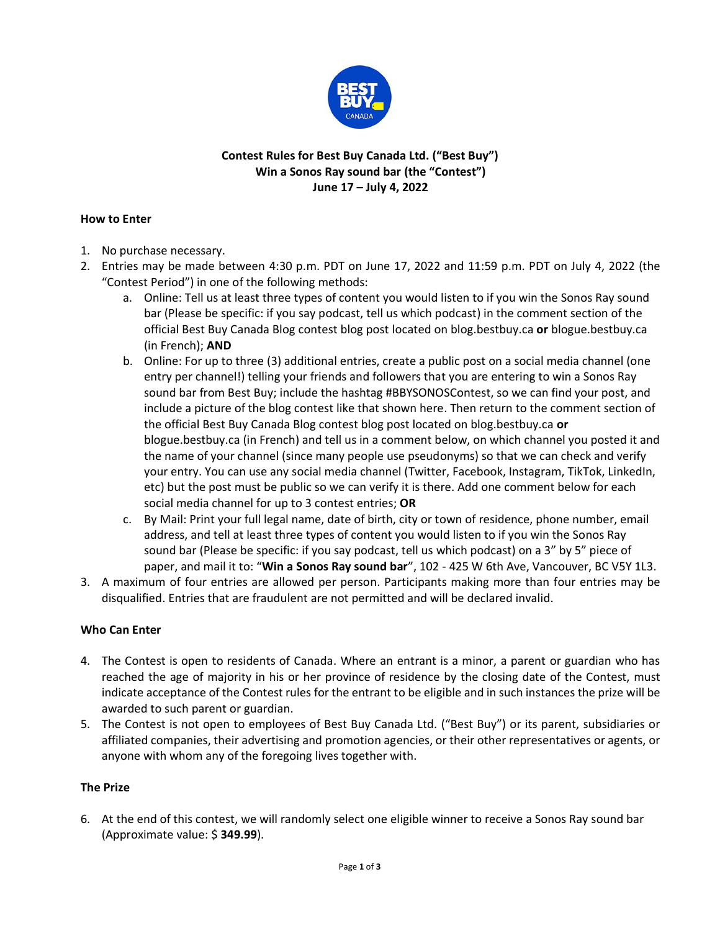

# **Contest Rules for Best Buy Canada Ltd. ("Best Buy") Win a Sonos Ray sound bar (the "Contest") June 17 – July 4, 2022**

#### **How to Enter**

- 1. No purchase necessary.
- 2. Entries may be made between 4:30 p.m. PDT on June 17, 2022 and 11:59 p.m. PDT on July 4, 2022 (the "Contest Period") in one of the following methods:
	- a. Online: Tell us at least three types of content you would listen to if you win the Sonos Ray sound bar (Please be specific: if you say podcast, tell us which podcast) in the comment section of the official Best Buy Canada Blog contest blog post located on blog.bestbuy.ca **or** blogue.bestbuy.ca (in French); **AND**
	- b. Online: For up to three (3) additional entries, create a public post on a social media channel (one entry per channel!) telling your friends and followers that you are entering to win a Sonos Ray sound bar from Best Buy; include the hashtag #BBYSONOSContest, so we can find your post, and include a picture of the blog contest like that shown here. Then return to the comment section of the official Best Buy Canada Blog contest blog post located on blog.bestbuy.ca **or**  blogue.bestbuy.ca (in French) and tell us in a comment below, on which channel you posted it and the name of your channel (since many people use pseudonyms) so that we can check and verify your entry. You can use any social media channel (Twitter, Facebook, Instagram, TikTok, LinkedIn, etc) but the post must be public so we can verify it is there. Add one comment below for each social media channel for up to 3 contest entries; **OR**
	- c. By Mail: Print your full legal name, date of birth, city or town of residence, phone number, email address, and tell at least three types of content you would listen to if you win the Sonos Ray sound bar (Please be specific: if you say podcast, tell us which podcast) on a 3" by 5" piece of paper, and mail it to: "**Win a Sonos Ray sound bar**", 102 - 425 W 6th Ave, Vancouver, BC V5Y 1L3.
- 3. A maximum of four entries are allowed per person. Participants making more than four entries may be disqualified. Entries that are fraudulent are not permitted and will be declared invalid.

# **Who Can Enter**

- 4. The Contest is open to residents of Canada. Where an entrant is a minor, a parent or guardian who has reached the age of majority in his or her province of residence by the closing date of the Contest, must indicate acceptance of the Contest rules for the entrant to be eligible and in such instances the prize will be awarded to such parent or guardian.
- 5. The Contest is not open to employees of Best Buy Canada Ltd. ("Best Buy") or its parent, subsidiaries or affiliated companies, their advertising and promotion agencies, or their other representatives or agents, or anyone with whom any of the foregoing lives together with.

#### **The Prize**

6. At the end of this contest, we will randomly select one eligible winner to receive a Sonos Ray sound bar (Approximate value: \$ **349.99**).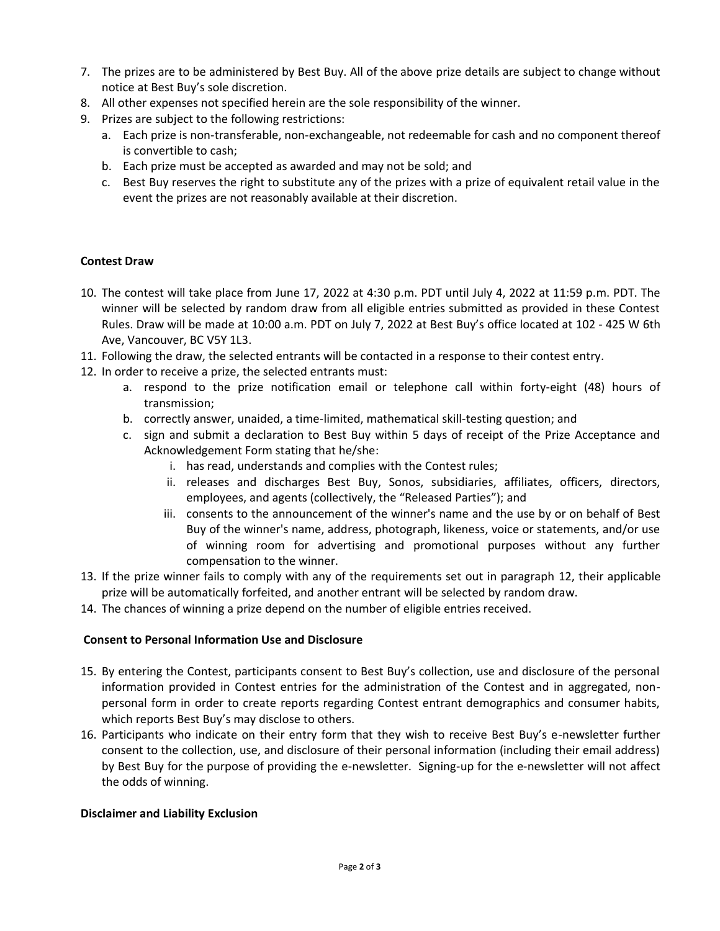- 7. The prizes are to be administered by Best Buy. All of the above prize details are subject to change without notice at Best Buy's sole discretion.
- 8. All other expenses not specified herein are the sole responsibility of the winner.
- 9. Prizes are subject to the following restrictions:
	- a. Each prize is non-transferable, non-exchangeable, not redeemable for cash and no component thereof is convertible to cash;
	- b. Each prize must be accepted as awarded and may not be sold; and
	- c. Best Buy reserves the right to substitute any of the prizes with a prize of equivalent retail value in the event the prizes are not reasonably available at their discretion.

#### **Contest Draw**

- 10. The contest will take place from June 17, 2022 at 4:30 p.m. PDT until July 4, 2022 at 11:59 p.m. PDT. The winner will be selected by random draw from all eligible entries submitted as provided in these Contest Rules. Draw will be made at 10:00 a.m. PDT on July 7, 2022 at Best Buy's office located at 102 - 425 W 6th Ave, Vancouver, BC V5Y 1L3.
- 11. Following the draw, the selected entrants will be contacted in a response to their contest entry.
- 12. In order to receive a prize, the selected entrants must:
	- a. respond to the prize notification email or telephone call within forty-eight (48) hours of transmission;
	- b. correctly answer, unaided, a time-limited, mathematical skill-testing question; and
	- c. sign and submit a declaration to Best Buy within 5 days of receipt of the Prize Acceptance and Acknowledgement Form stating that he/she:
		- i. has read, understands and complies with the Contest rules;
		- ii. releases and discharges Best Buy, Sonos, subsidiaries, affiliates, officers, directors, employees, and agents (collectively, the "Released Parties"); and
		- iii. consents to the announcement of the winner's name and the use by or on behalf of Best Buy of the winner's name, address, photograph, likeness, voice or statements, and/or use of winning room for advertising and promotional purposes without any further compensation to the winner.
- 13. If the prize winner fails to comply with any of the requirements set out in paragraph 12, their applicable prize will be automatically forfeited, and another entrant will be selected by random draw.
- 14. The chances of winning a prize depend on the number of eligible entries received.

### **Consent to Personal Information Use and Disclosure**

- 15. By entering the Contest, participants consent to Best Buy's collection, use and disclosure of the personal information provided in Contest entries for the administration of the Contest and in aggregated, nonpersonal form in order to create reports regarding Contest entrant demographics and consumer habits, which reports Best Buy's may disclose to others.
- 16. Participants who indicate on their entry form that they wish to receive Best Buy's e-newsletter further consent to the collection, use, and disclosure of their personal information (including their email address) by Best Buy for the purpose of providing the e-newsletter. Signing-up for the e-newsletter will not affect the odds of winning.

#### **Disclaimer and Liability Exclusion**